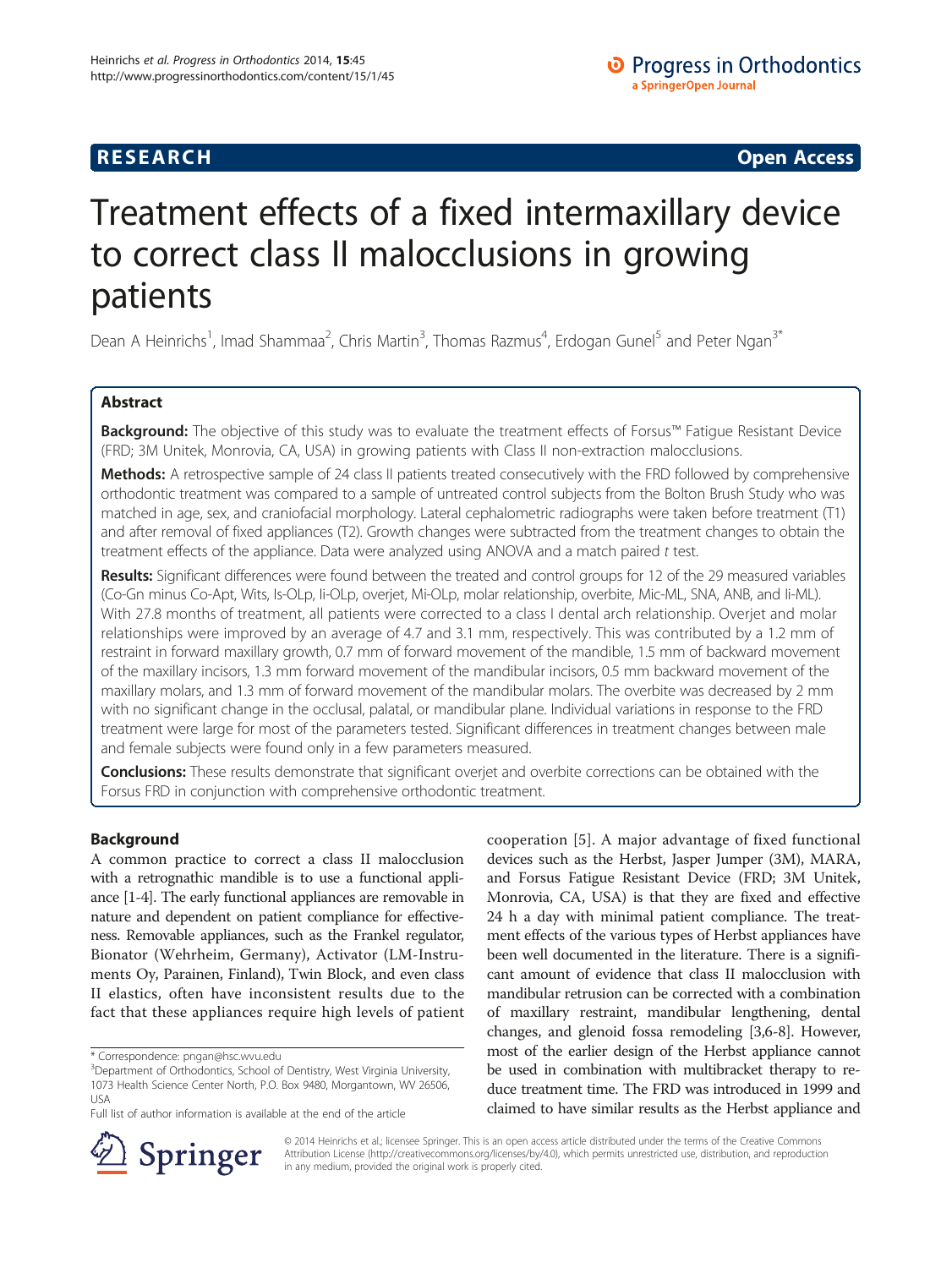## **RESEARCH CHINESE ARCH CHINESE ARCH CHINESE ARCH <b>CHINESE ARCH**

# Treatment effects of a fixed intermaxillary device to correct class II malocclusions in growing patients

Dean A Heinrichs<sup>1</sup>, Imad Shammaa<sup>2</sup>, Chris Martin<sup>3</sup>, Thomas Razmus<sup>4</sup>, Erdogan Gunel<sup>5</sup> and Peter Ngan<sup>3\*</sup>

## Abstract

Background: The objective of this study was to evaluate the treatment effects of Forsus™ Fatigue Resistant Device (FRD; 3M Unitek, Monrovia, CA, USA) in growing patients with Class II non-extraction malocclusions.

Methods: A retrospective sample of 24 class II patients treated consecutively with the FRD followed by comprehensive orthodontic treatment was compared to a sample of untreated control subjects from the Bolton Brush Study who was matched in age, sex, and craniofacial morphology. Lateral cephalometric radiographs were taken before treatment (T1) and after removal of fixed appliances (T2). Growth changes were subtracted from the treatment changes to obtain the treatment effects of the appliance. Data were analyzed using ANOVA and a match paired t test.

Results: Significant differences were found between the treated and control groups for 12 of the 29 measured variables (Co-Gn minus Co-Apt, Wits, Is-OLp, Ii-OLp, overjet, Mi-OLp, molar relationship, overbite, Mic-ML, SNA, ANB, and Ii-ML). With 27.8 months of treatment, all patients were corrected to a class I dental arch relationship. Overjet and molar relationships were improved by an average of 4.7 and 3.1 mm, respectively. This was contributed by a 1.2 mm of restraint in forward maxillary growth, 0.7 mm of forward movement of the mandible, 1.5 mm of backward movement of the maxillary incisors, 1.3 mm forward movement of the mandibular incisors, 0.5 mm backward movement of the maxillary molars, and 1.3 mm of forward movement of the mandibular molars. The overbite was decreased by 2 mm with no significant change in the occlusal, palatal, or mandibular plane. Individual variations in response to the FRD treatment were large for most of the parameters tested. Significant differences in treatment changes between male and female subjects were found only in a few parameters measured.

Conclusions: These results demonstrate that significant overjet and overbite corrections can be obtained with the Forsus FRD in conjunction with comprehensive orthodontic treatment.

## Background

A common practice to correct a class II malocclusion with a retrognathic mandible is to use a functional appliance [\[1-4\]](#page-11-0). The early functional appliances are removable in nature and dependent on patient compliance for effectiveness. Removable appliances, such as the Frankel regulator, Bionator (Wehrheim, Germany), Activator (LM-Instruments Oy, Parainen, Finland), Twin Block, and even class II elastics, often have inconsistent results due to the fact that these appliances require high levels of patient

cooperation [[5](#page-11-0)]. A major advantage of fixed functional devices such as the Herbst, Jasper Jumper (3M), MARA, and Forsus Fatigue Resistant Device (FRD; 3M Unitek, Monrovia, CA, USA) is that they are fixed and effective 24 h a day with minimal patient compliance. The treatment effects of the various types of Herbst appliances have been well documented in the literature. There is a significant amount of evidence that class II malocclusion with mandibular retrusion can be corrected with a combination of maxillary restraint, mandibular lengthening, dental changes, and glenoid fossa remodeling [[3,6-8\]](#page-11-0). However, most of the earlier design of the Herbst appliance cannot be used in combination with multibracket therapy to reduce treatment time. The FRD was introduced in 1999 and claimed to have similar results as the Herbst appliance and



© 2014 Heinrichs et al.; licensee Springer. This is an open access article distributed under the terms of the Creative Commons Attribution License [\(http://creativecommons.org/licenses/by/4.0\)](http://creativecommons.org/licenses/by/4.0), which permits unrestricted use, distribution, and reproduction in any medium, provided the original work is properly cited.

<sup>\*</sup> Correspondence: [pngan@hsc.wvu.edu](mailto:pngan@hsc.wvu.edu) <sup>3</sup>

<sup>&</sup>lt;sup>3</sup>Department of Orthodontics, School of Dentistry, West Virginia University, 1073 Health Science Center North, P.O. Box 9480, Morgantown, WV 26506, USA

Full list of author information is available at the end of the article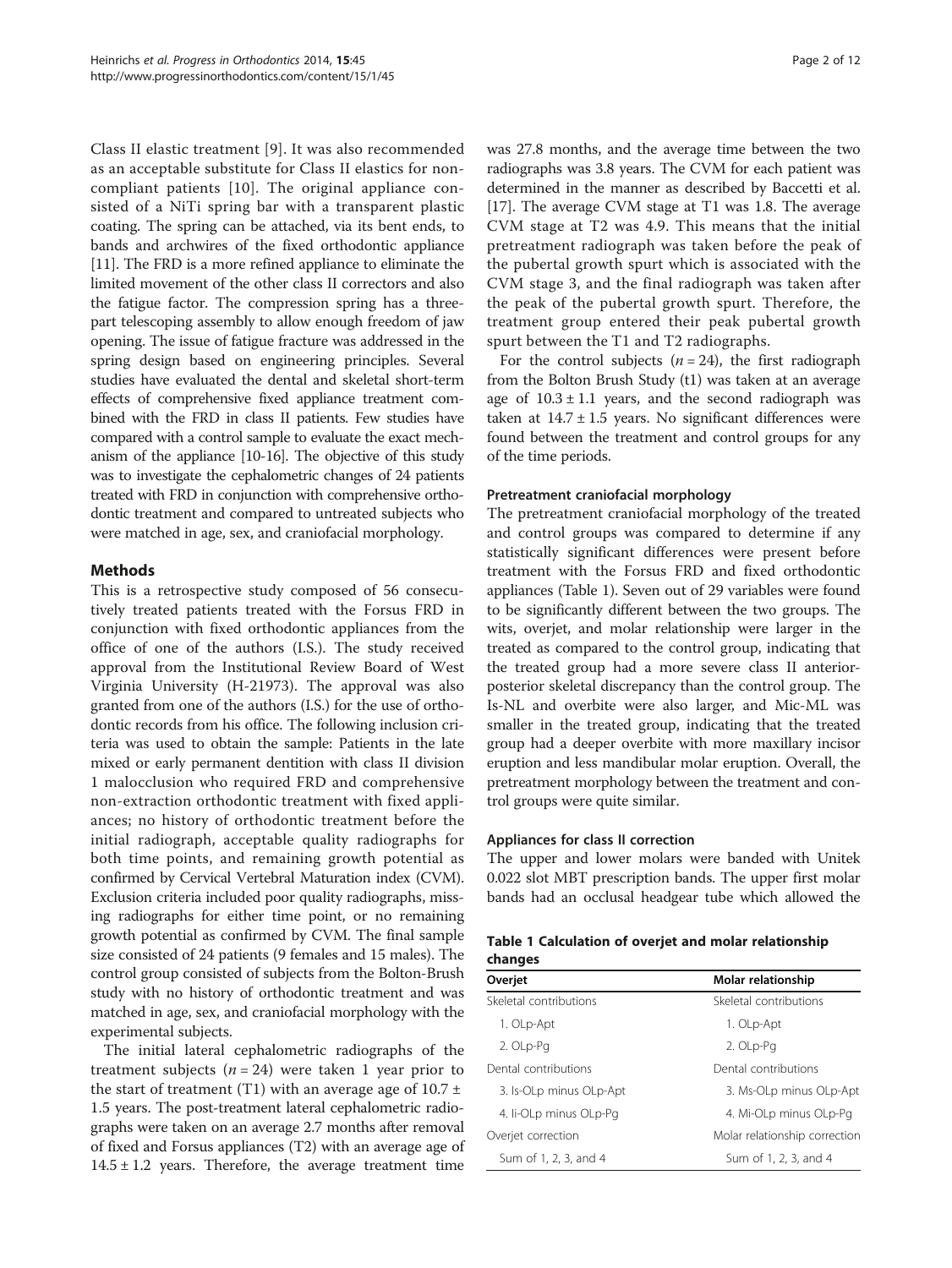<span id="page-1-0"></span>Class II elastic treatment [[9\]](#page-11-0). It was also recommended as an acceptable substitute for Class II elastics for noncompliant patients [\[10\]](#page-11-0). The original appliance consisted of a NiTi spring bar with a transparent plastic coating. The spring can be attached, via its bent ends, to bands and archwires of the fixed orthodontic appliance [[11](#page-11-0)]. The FRD is a more refined appliance to eliminate the limited movement of the other class II correctors and also the fatigue factor. The compression spring has a threepart telescoping assembly to allow enough freedom of jaw opening. The issue of fatigue fracture was addressed in the spring design based on engineering principles. Several studies have evaluated the dental and skeletal short-term effects of comprehensive fixed appliance treatment combined with the FRD in class II patients. Few studies have compared with a control sample to evaluate the exact mechanism of the appliance [[10-16\]](#page-11-0). The objective of this study was to investigate the cephalometric changes of 24 patients treated with FRD in conjunction with comprehensive orthodontic treatment and compared to untreated subjects who were matched in age, sex, and craniofacial morphology.

## Methods

This is a retrospective study composed of 56 consecutively treated patients treated with the Forsus FRD in conjunction with fixed orthodontic appliances from the office of one of the authors (I.S.). The study received approval from the Institutional Review Board of West Virginia University (H-21973). The approval was also granted from one of the authors (I.S.) for the use of orthodontic records from his office. The following inclusion criteria was used to obtain the sample: Patients in the late mixed or early permanent dentition with class II division 1 malocclusion who required FRD and comprehensive non-extraction orthodontic treatment with fixed appliances; no history of orthodontic treatment before the initial radiograph, acceptable quality radiographs for both time points, and remaining growth potential as confirmed by Cervical Vertebral Maturation index (CVM). Exclusion criteria included poor quality radiographs, missing radiographs for either time point, or no remaining growth potential as confirmed by CVM. The final sample size consisted of 24 patients (9 females and 15 males). The control group consisted of subjects from the Bolton-Brush study with no history of orthodontic treatment and was matched in age, sex, and craniofacial morphology with the experimental subjects.

The initial lateral cephalometric radiographs of the treatment subjects ( $n = 24$ ) were taken 1 year prior to the start of treatment (T1) with an average age of  $10.7 \pm$ 1.5 years. The post-treatment lateral cephalometric radiographs were taken on an average 2.7 months after removal of fixed and Forsus appliances (T2) with an average age of  $14.5 \pm 1.2$  years. Therefore, the average treatment time was 27.8 months, and the average time between the two radiographs was 3.8 years. The CVM for each patient was determined in the manner as described by Baccetti et al. [[17](#page-11-0)]. The average CVM stage at T1 was 1.8. The average CVM stage at T2 was 4.9. This means that the initial pretreatment radiograph was taken before the peak of the pubertal growth spurt which is associated with the CVM stage 3, and the final radiograph was taken after the peak of the pubertal growth spurt. Therefore, the treatment group entered their peak pubertal growth spurt between the T1 and T2 radiographs.

For the control subjects  $(n = 24)$ , the first radiograph from the Bolton Brush Study (t1) was taken at an average age of  $10.3 \pm 1.1$  years, and the second radiograph was taken at  $14.7 \pm 1.5$  years. No significant differences were found between the treatment and control groups for any of the time periods.

#### Pretreatment craniofacial morphology

The pretreatment craniofacial morphology of the treated and control groups was compared to determine if any statistically significant differences were present before treatment with the Forsus FRD and fixed orthodontic appliances (Table 1). Seven out of 29 variables were found to be significantly different between the two groups. The wits, overjet, and molar relationship were larger in the treated as compared to the control group, indicating that the treated group had a more severe class II anteriorposterior skeletal discrepancy than the control group. The Is-NL and overbite were also larger, and Mic-ML was smaller in the treated group, indicating that the treated group had a deeper overbite with more maxillary incisor eruption and less mandibular molar eruption. Overall, the pretreatment morphology between the treatment and control groups were quite similar.

#### Appliances for class II correction

The upper and lower molars were banded with Unitek 0.022 slot MBT prescription bands. The upper first molar bands had an occlusal headgear tube which allowed the

|         |  | Table 1 Calculation of overjet and molar relationship |
|---------|--|-------------------------------------------------------|
| changes |  |                                                       |

| Overjet                 | Molar relationship            |  |  |  |
|-------------------------|-------------------------------|--|--|--|
| Skeletal contributions  | Skeletal contributions        |  |  |  |
| 1. OLp-Apt              | 1. OLp-Apt                    |  |  |  |
| 2. OLp-Pg               | 2. OLp-Pg                     |  |  |  |
| Dental contributions    | Dental contributions          |  |  |  |
| 3. Is-OLp minus OLp-Apt | 3. Ms-OLp minus OLp-Apt       |  |  |  |
| 4. li-OLp minus OLp-Pa  | 4. Mi-OLp minus OLp-Pq        |  |  |  |
| Overjet correction      | Molar relationship correction |  |  |  |
| Sum of 1, 2, 3, and 4   | Sum of 1, 2, 3, and 4         |  |  |  |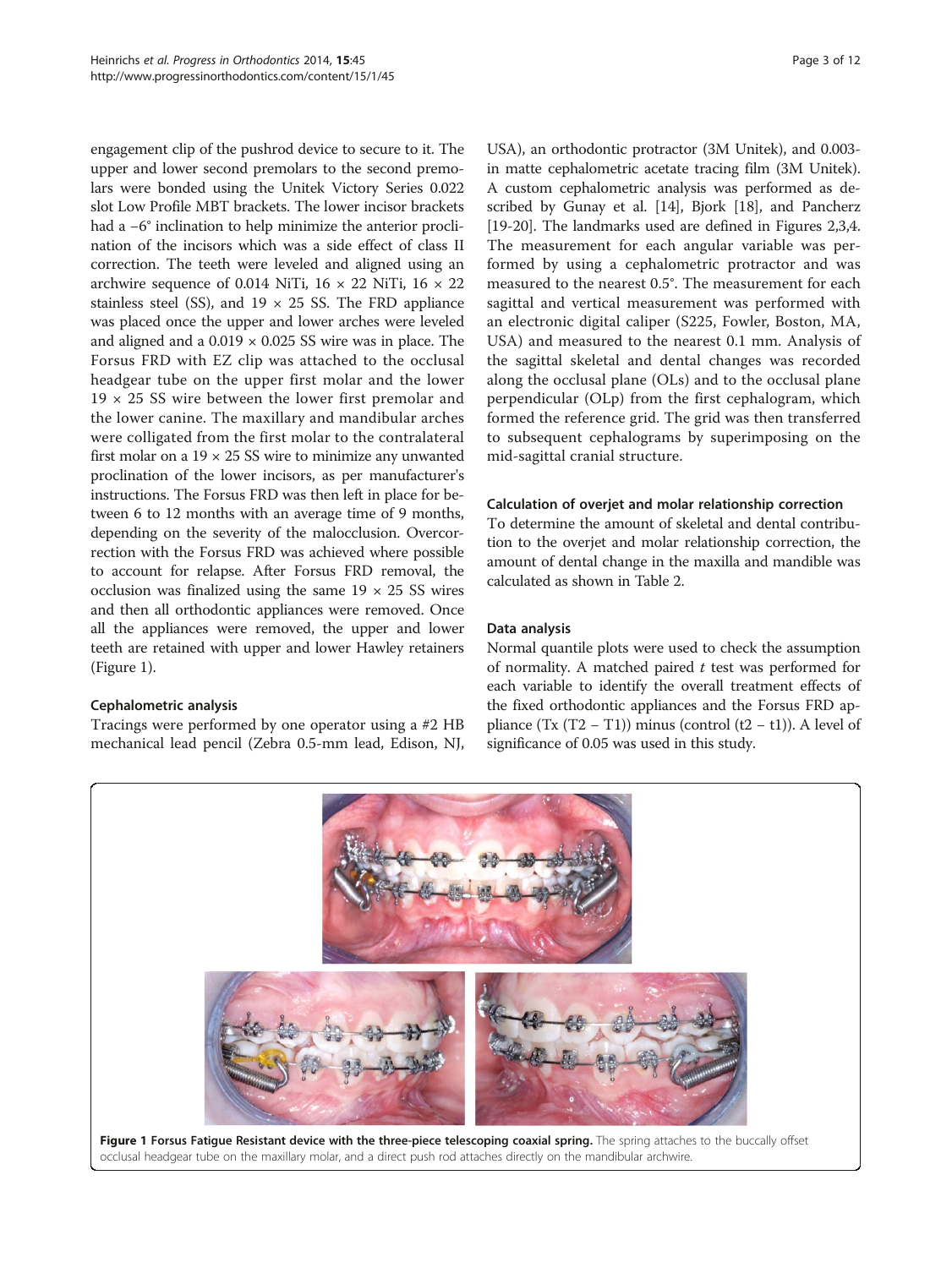engagement clip of the pushrod device to secure to it. The upper and lower second premolars to the second premolars were bonded using the Unitek Victory Series 0.022 slot Low Profile MBT brackets. The lower incisor brackets had a −6° inclination to help minimize the anterior proclination of the incisors which was a side effect of class II correction. The teeth were leveled and aligned using an archwire sequence of 0.014 NiTi,  $16 \times 22$  NiTi,  $16 \times 22$ stainless steel (SS), and  $19 \times 25$  SS. The FRD appliance was placed once the upper and lower arches were leveled and aligned and a  $0.019 \times 0.025$  SS wire was in place. The Forsus FRD with EZ clip was attached to the occlusal headgear tube on the upper first molar and the lower 19 × 25 SS wire between the lower first premolar and the lower canine. The maxillary and mandibular arches were colligated from the first molar to the contralateral first molar on a  $19 \times 25$  SS wire to minimize any unwanted proclination of the lower incisors, as per manufacturer's instructions. The Forsus FRD was then left in place for between 6 to 12 months with an average time of 9 months, depending on the severity of the malocclusion. Overcorrection with the Forsus FRD was achieved where possible to account for relapse. After Forsus FRD removal, the occlusion was finalized using the same  $19 \times 25$  SS wires and then all orthodontic appliances were removed. Once all the appliances were removed, the upper and lower teeth are retained with upper and lower Hawley retainers (Figure 1).

#### Cephalometric analysis

Tracings were performed by one operator using a #2 HB mechanical lead pencil (Zebra 0.5-mm lead, Edison, NJ, USA), an orthodontic protractor (3M Unitek), and 0.003 in matte cephalometric acetate tracing film (3M Unitek). A custom cephalometric analysis was performed as described by Gunay et al. [\[14\]](#page-11-0), Bjork [\[18\]](#page-11-0), and Pancherz [[19](#page-11-0)-[20\]](#page-11-0). The landmarks used are defined in Figures [2,3,4](#page-3-0). The measurement for each angular variable was performed by using a cephalometric protractor and was measured to the nearest 0.5°. The measurement for each sagittal and vertical measurement was performed with an electronic digital caliper (S225, Fowler, Boston, MA, USA) and measured to the nearest 0.1 mm. Analysis of the sagittal skeletal and dental changes was recorded along the occlusal plane (OLs) and to the occlusal plane perpendicular (OLp) from the first cephalogram, which formed the reference grid. The grid was then transferred to subsequent cephalograms by superimposing on the mid-sagittal cranial structure.

#### Calculation of overjet and molar relationship correction

To determine the amount of skeletal and dental contribution to the overjet and molar relationship correction, the amount of dental change in the maxilla and mandible was calculated as shown in Table [2](#page-4-0).

#### Data analysis

Normal quantile plots were used to check the assumption of normality. A matched paired  $t$  test was performed for each variable to identify the overall treatment effects of the fixed orthodontic appliances and the Forsus FRD appliance (Tx (T2 – T1)) minus (control (t2 – t1)). A level of significance of 0.05 was used in this study.

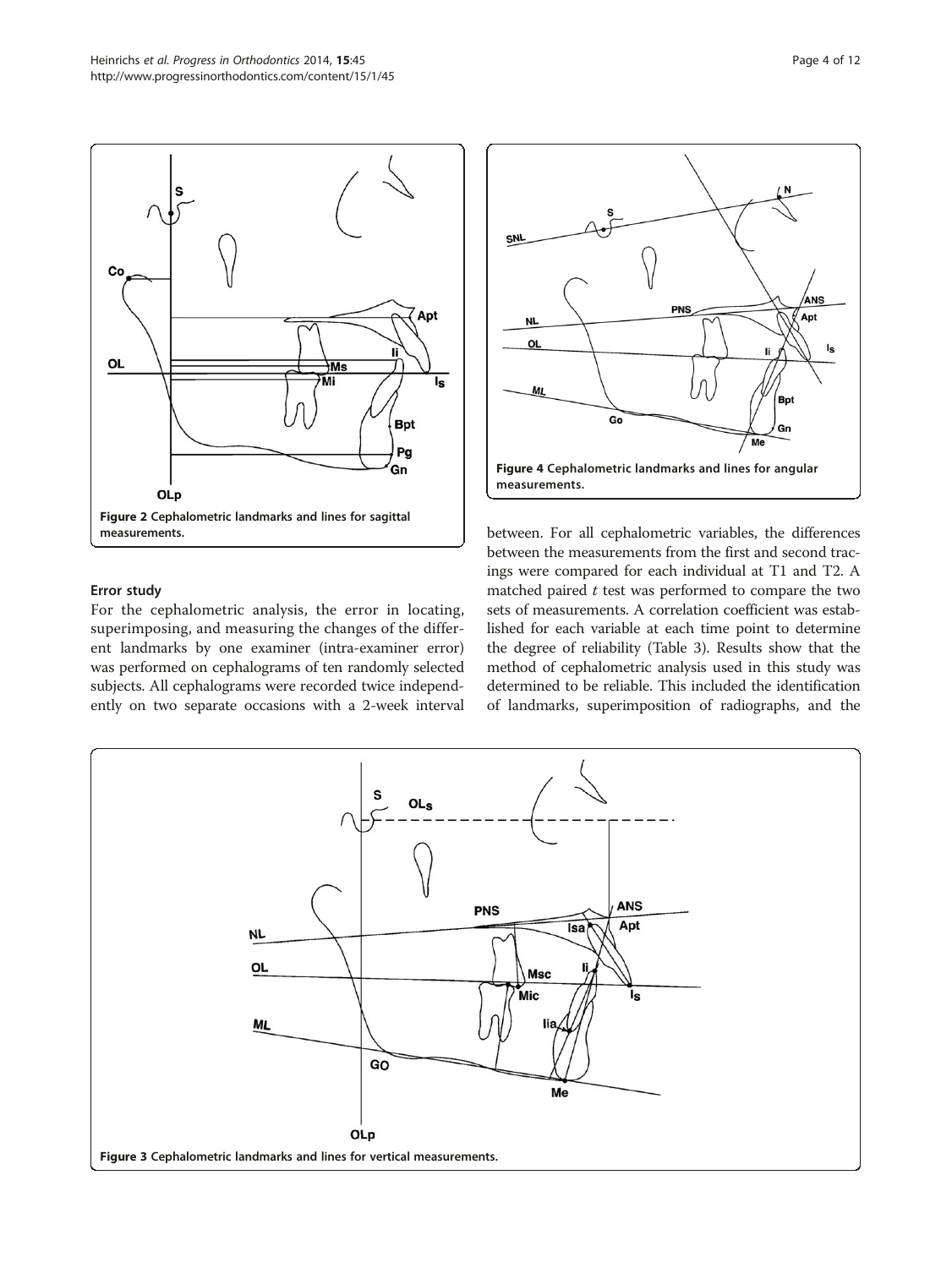<span id="page-3-0"></span>

#### Error study

For the cephalometric analysis, the error in locating, superimposing, and measuring the changes of the different landmarks by one examiner (intra-examiner error) was performed on cephalograms of ten randomly selected subjects. All cephalograms were recorded twice independently on two separate occasions with a 2-week interval



between. For all cephalometric variables, the differences between the measurements from the first and second tracings were compared for each individual at T1 and T2. A matched paired  $t$  test was performed to compare the two sets of measurements. A correlation coefficient was established for each variable at each time point to determine the degree of reliability (Table [3](#page-5-0)). Results show that the method of cephalometric analysis used in this study was determined to be reliable. This included the identification of landmarks, superimposition of radiographs, and the

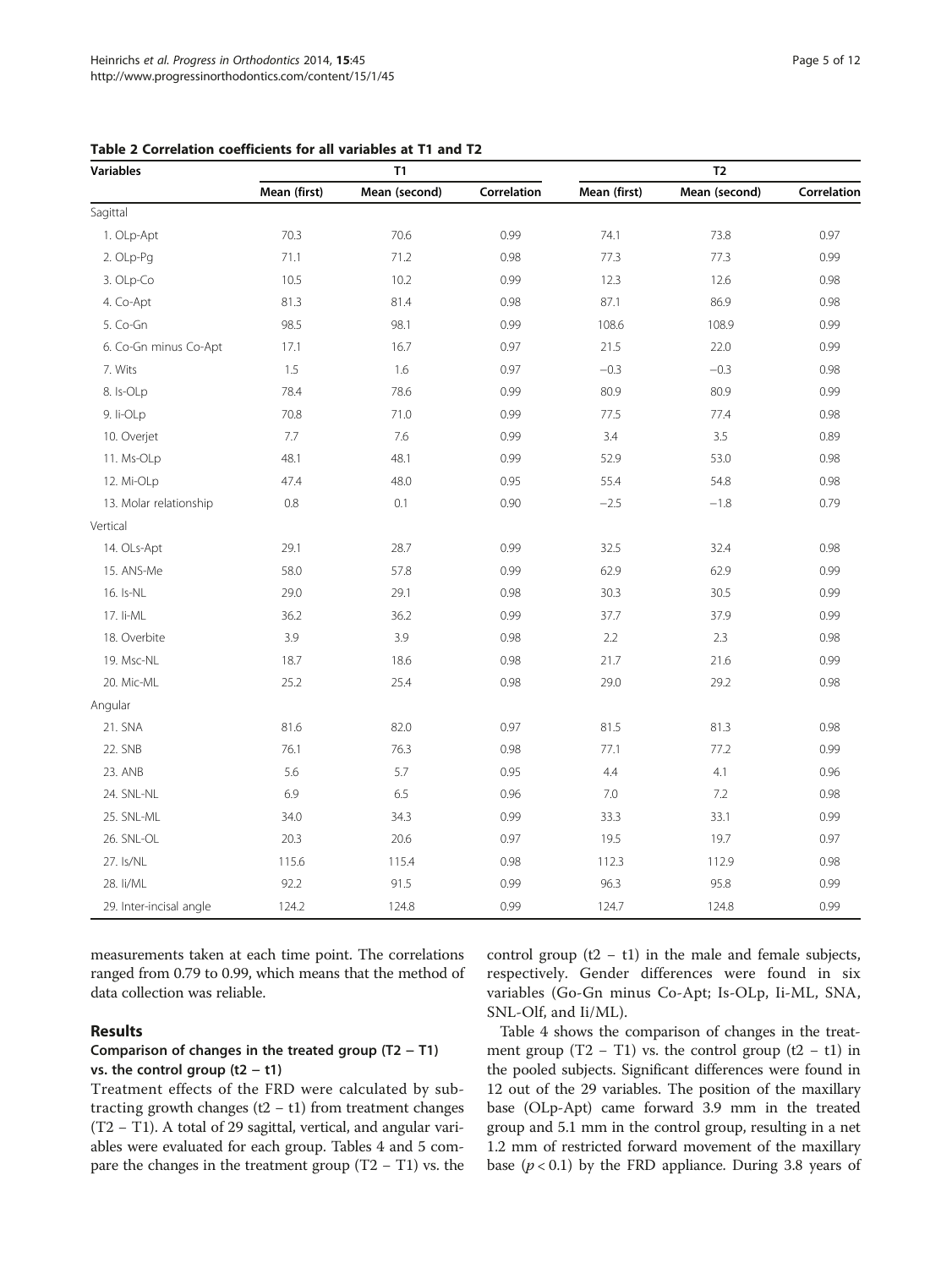| <b>Variables</b>        |              | T1            |             | T <sub>2</sub> |               |             |  |
|-------------------------|--------------|---------------|-------------|----------------|---------------|-------------|--|
|                         | Mean (first) | Mean (second) | Correlation | Mean (first)   | Mean (second) | Correlation |  |
| Sagittal                |              |               |             |                |               |             |  |
| 1. OLp-Apt              | 70.3         |               | 0.99        | 74.1           | 73.8          | 0.97        |  |
| 2. OLp-Pg               | 71.1         | 71.2          | 0.98        | 77.3           | 77.3          | 0.99        |  |
| 3. OLp-Co               | 10.5         | 10.2          | 0.99        | 12.3           | 12.6          | 0.98        |  |
| 4. Co-Apt               | 81.3         | 81.4          | 0.98        | 87.1           | 86.9          | 0.98        |  |
| 5. Co-Gn                | 98.5         | 98.1          | 0.99        | 108.6          | 108.9         | 0.99        |  |
| 6. Co-Gn minus Co-Apt   | 17.1         | 16.7          | 0.97        | 21.5           | 22.0          | 0.99        |  |
| 7. Wits                 | 1.5          | 1.6           | 0.97        | $-0.3$         | $-0.3$        | 0.98        |  |
| 8. Is-OLp               | 78.4         | 78.6          | 0.99        | 80.9           | 80.9          | 0.99        |  |
| 9. li-OLp               | 70.8         | 71.0          | 0.99        | 77.5           | 77.4          | 0.98        |  |
| 10. Overjet             | $7.7\,$      | 7.6           | 0.99        | 3.4            | 3.5           | 0.89        |  |
| 11. Ms-OLp              | 48.1         | 48.1          | 0.99        | 52.9           | 53.0          | 0.98        |  |
| 12. Mi-OLp              | 47.4         | 48.0          | 0.95        | 55.4           | 54.8          | 0.98        |  |
| 13. Molar relationship  | 0.8          | 0.1           | 0.90        | $-2.5$         | $-1.8$        | 0.79        |  |
| Vertical                |              |               |             |                |               |             |  |
| 14. OLs-Apt             | 29.1         | 28.7          | 0.99        | 32.5           | 32.4          | 0.98        |  |
| 15. ANS-Me              | 58.0         | 57.8          | 0.99        | 62.9           | 62.9          | 0.99        |  |
| 16. Is-NL               | 29.0         | 29.1          | 0.98        | 30.3           | 30.5          | 0.99        |  |
| 17. li-ML               | 36.2         | 36.2          | 0.99        | 37.7           | 37.9          | 0.99        |  |
| 18. Overbite            | 3.9          | 3.9           | 0.98        | 2.2            | 2.3           | 0.98        |  |
| 19. Msc-NL              | 18.7         | 18.6          | 0.98        | 21.7           | 21.6          | 0.99        |  |
| 20. Mic-ML              | 25.2         | 25.4          | 0.98        | 29.0           | 29.2          | 0.98        |  |
| Angular                 |              |               |             |                |               |             |  |
| 21. SNA                 | 81.6         | 82.0          | 0.97        | 81.5           | 81.3          | 0.98        |  |
| 22. SNB                 | 76.1         | 76.3          | 0.98        | 77.1           | 77.2          | 0.99        |  |
| 23. ANB                 | 5.6          | 5.7           | 0.95        | 4.4            | 4.1           | 0.96        |  |
| 24. SNL-NL              | 6.9          | 6.5           | 0.96        | 7.0            | 7.2           | 0.98        |  |
| 25. SNL-ML              | 34.0         | 34.3          | 0.99        | 33.3           | 33.1          | 0.99        |  |
| 26. SNL-OL              | 20.3         | 20.6          | 0.97        | 19.5           | 19.7          | 0.97        |  |
| 27. Is/NL               | 115.6        | 115.4         | 0.98        | 112.3          | 112.9         | 0.98        |  |
| 28. li/ML               | 92.2         | 91.5          | 0.99        | 96.3           | 95.8          | 0.99        |  |
| 29. Inter-incisal angle | 124.2        | 124.8         | 0.99        | 124.7          | 124.8         | 0.99        |  |

<span id="page-4-0"></span>Table 2 Correlation coefficients for all variables at T1 and T2

measurements taken at each time point. The correlations ranged from 0.79 to 0.99, which means that the method of data collection was reliable.

#### Results

#### Comparison of changes in the treated group (T2 − T1) vs. the control group (t2 − t1)

Treatment effects of the FRD were calculated by subtracting growth changes  $(t2 - t1)$  from treatment changes (T2 − T1). A total of 29 sagittal, vertical, and angular variables were evaluated for each group. Tables [4](#page-6-0) and [5](#page-7-0) compare the changes in the treatment group (T2 − T1) vs. the control group  $(t2 - t1)$  in the male and female subjects, respectively. Gender differences were found in six variables (Go-Gn minus Co-Apt; Is-OLp, Ii-ML, SNA, SNL-Olf, and Ii/ML).

Table [4](#page-6-0) shows the comparison of changes in the treatment group (T2 – T1) vs. the control group (t2 – t1) in the pooled subjects. Significant differences were found in 12 out of the 29 variables. The position of the maxillary base (OLp-Apt) came forward 3.9 mm in the treated group and 5.1 mm in the control group, resulting in a net 1.2 mm of restricted forward movement of the maxillary base  $(p < 0.1)$  by the FRD appliance. During 3.8 years of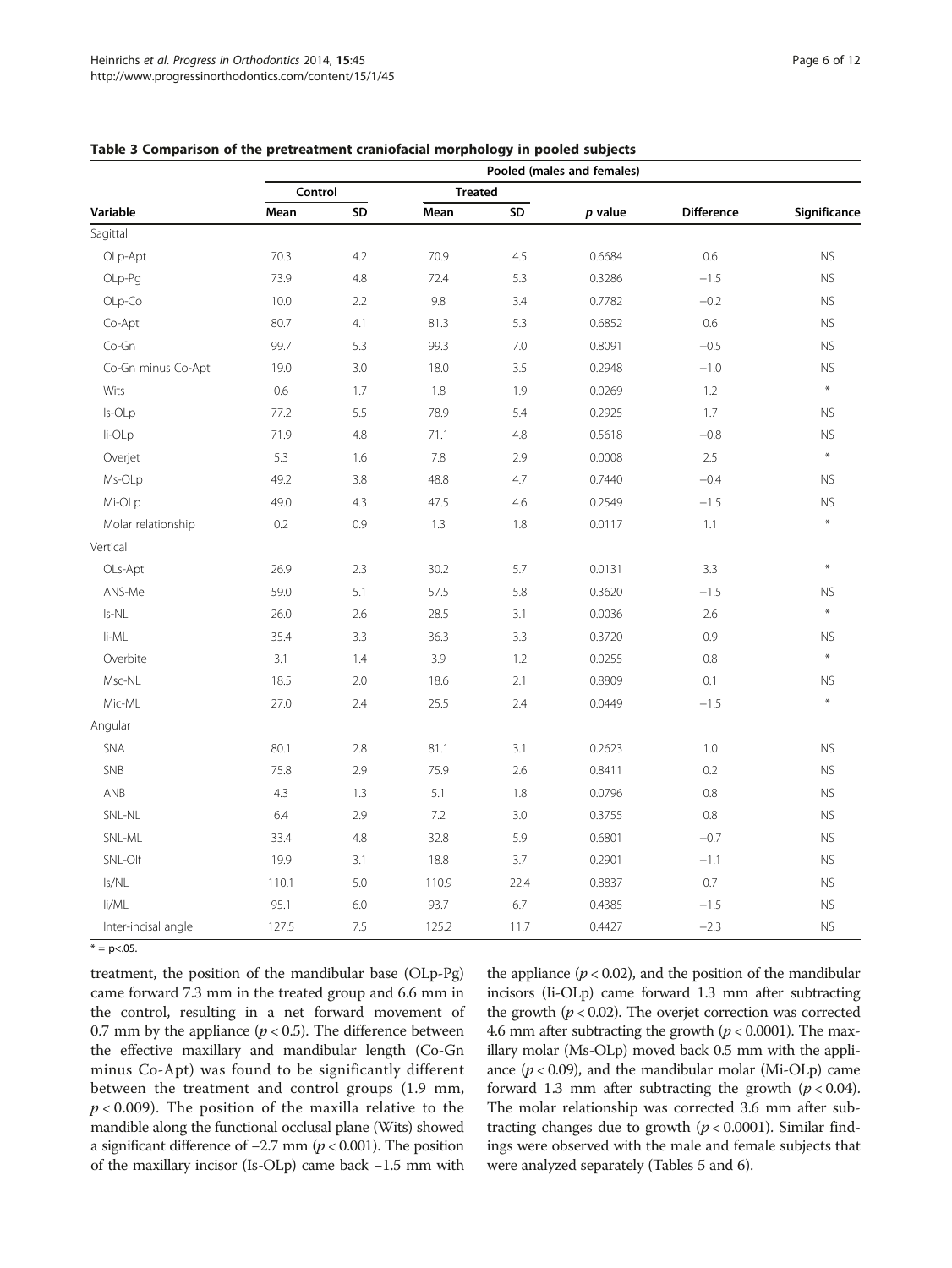|                     | J J<br>Pooled (males and females) |     |                |      |         |            |              |  |  |
|---------------------|-----------------------------------|-----|----------------|------|---------|------------|--------------|--|--|
|                     | Control                           |     | <b>Treated</b> |      |         |            |              |  |  |
| Variable            | Mean                              | SD  | Mean           | SD   | p value | Difference | Significance |  |  |
| Sagittal            |                                   |     |                |      |         |            |              |  |  |
| OLp-Apt             | 70.3                              | 4.2 | 70.9           | 4.5  | 0.6684  | 0.6        | <b>NS</b>    |  |  |
| OLp-Pg              | 73.9                              | 4.8 | 72.4           | 5.3  | 0.3286  | $-1.5$     | <b>NS</b>    |  |  |
| OLp-Co              | 10.0                              | 2.2 | 9.8            | 3.4  | 0.7782  | $-0.2$     | <b>NS</b>    |  |  |
| Co-Apt              | 80.7                              | 4.1 | 81.3           | 5.3  | 0.6852  | 0.6        | <b>NS</b>    |  |  |
| Co-Gn               | 99.7                              | 5.3 | 99.3           | 7.0  | 0.8091  | $-0.5$     | <b>NS</b>    |  |  |
| Co-Gn minus Co-Apt  | 19.0                              | 3.0 | 18.0           | 3.5  | 0.2948  | $-1.0$     | <b>NS</b>    |  |  |
| Wits                | 0.6                               | 1.7 | 1.8            | 1.9  | 0.0269  | 1.2        | $\ast$       |  |  |
| Is-OLp              | 77.2                              | 5.5 | 78.9           | 5.4  | 0.2925  | 1.7        | <b>NS</b>    |  |  |
| li-OLp              | 71.9                              | 4.8 | 71.1           | 4.8  | 0.5618  | $-0.8$     | <b>NS</b>    |  |  |
| Overjet             | 5.3                               | 1.6 | 7.8            | 2.9  | 0.0008  | 2.5        | $\ast$       |  |  |
| Ms-OLp              | 49.2                              | 3.8 | 48.8           | 4.7  | 0.7440  | $-0.4$     | ${\sf NS}$   |  |  |
| Mi-OLp              | 49.0                              | 4.3 | 47.5           | 4.6  | 0.2549  | $-1.5$     | <b>NS</b>    |  |  |
| Molar relationship  | 0.2                               | 0.9 | 1.3            | 1.8  | 0.0117  | 1.1        | $\ast$       |  |  |
| Vertical            |                                   |     |                |      |         |            |              |  |  |
| OLs-Apt             | 26.9                              | 2.3 | 30.2           | 5.7  | 0.0131  | 3.3        | $\ast$       |  |  |
| ANS-Me              | 59.0                              | 5.1 | 57.5           | 5.8  | 0.3620  | $-1.5$     | <b>NS</b>    |  |  |
| Is-NL               | 26.0                              | 2.6 | 28.5           | 3.1  | 0.0036  | 2.6        | $\ast$       |  |  |
| li-ML               | 35.4                              | 3.3 | 36.3           | 3.3  | 0.3720  | 0.9        | <b>NS</b>    |  |  |
| Overbite            | 3.1                               | 1.4 | 3.9            | 1.2  | 0.0255  | 0.8        | $\ast$       |  |  |
| Msc-NL              | 18.5                              | 2.0 | 18.6           | 2.1  | 0.8809  | 0.1        | <b>NS</b>    |  |  |
| Mic-ML              | 27.0                              | 2.4 | 25.5           | 2.4  | 0.0449  | $-1.5$     | $\ast$       |  |  |
| Angular             |                                   |     |                |      |         |            |              |  |  |
| SNA                 | 80.1                              | 2.8 | 81.1           | 3.1  | 0.2623  | 1.0        | <b>NS</b>    |  |  |
| SNB                 | 75.8                              | 2.9 | 75.9           | 2.6  | 0.8411  | 0.2        | <b>NS</b>    |  |  |
| ANB                 | 4.3                               | 1.3 | 5.1            | 1.8  | 0.0796  | 0.8        | <b>NS</b>    |  |  |
| SNL-NL              | 6.4                               | 2.9 | 7.2            | 3.0  | 0.3755  | 0.8        | <b>NS</b>    |  |  |
| SNL-ML              | 33.4                              | 4.8 | 32.8           | 5.9  | 0.6801  | $-0.7$     | <b>NS</b>    |  |  |
| SNL-Olf             | 19.9                              | 3.1 | 18.8           | 3.7  | 0.2901  | $-1.1$     | <b>NS</b>    |  |  |
| Is/NL               | 110.1                             | 5.0 | 110.9          | 22.4 | 0.8837  | 0.7        | <b>NS</b>    |  |  |
| li/ML               | 95.1                              | 6.0 | 93.7           | 6.7  | 0.4385  | $-1.5$     | <b>NS</b>    |  |  |
| Inter-incisal angle | 127.5                             | 7.5 | 125.2          | 11.7 | 0.4427  | $-2.3$     | <b>NS</b>    |  |  |

<span id="page-5-0"></span>Table 3 Comparison of the pretreatment craniofacial morphology in pooled subjects

 $* = p < .05$ .

treatment, the position of the mandibular base (OLp-Pg) came forward 7.3 mm in the treated group and 6.6 mm in the control, resulting in a net forward movement of 0.7 mm by the appliance ( $p < 0.5$ ). The difference between the effective maxillary and mandibular length (Co-Gn minus Co-Apt) was found to be significantly different between the treatment and control groups (1.9 mm,  $p < 0.009$ ). The position of the maxilla relative to the mandible along the functional occlusal plane (Wits) showed a significant difference of  $-2.7$  mm ( $p$  < 0.001). The position of the maxillary incisor (Is-OLp) came back −1.5 mm with the appliance  $(p < 0.02)$ , and the position of the mandibular incisors (Ii-OLp) came forward 1.3 mm after subtracting the growth ( $p < 0.02$ ). The overjet correction was corrected 4.6 mm after subtracting the growth  $(p < 0.0001)$ . The maxillary molar (Ms-OLp) moved back 0.5 mm with the appliance  $(p < 0.09)$ , and the mandibular molar (Mi-OLp) came forward 1.3 mm after subtracting the growth  $(p < 0.04)$ . The molar relationship was corrected 3.6 mm after subtracting changes due to growth  $(p < 0.0001)$ . Similar findings were observed with the male and female subjects that were analyzed separately (Tables [5](#page-7-0) and [6](#page-8-0)).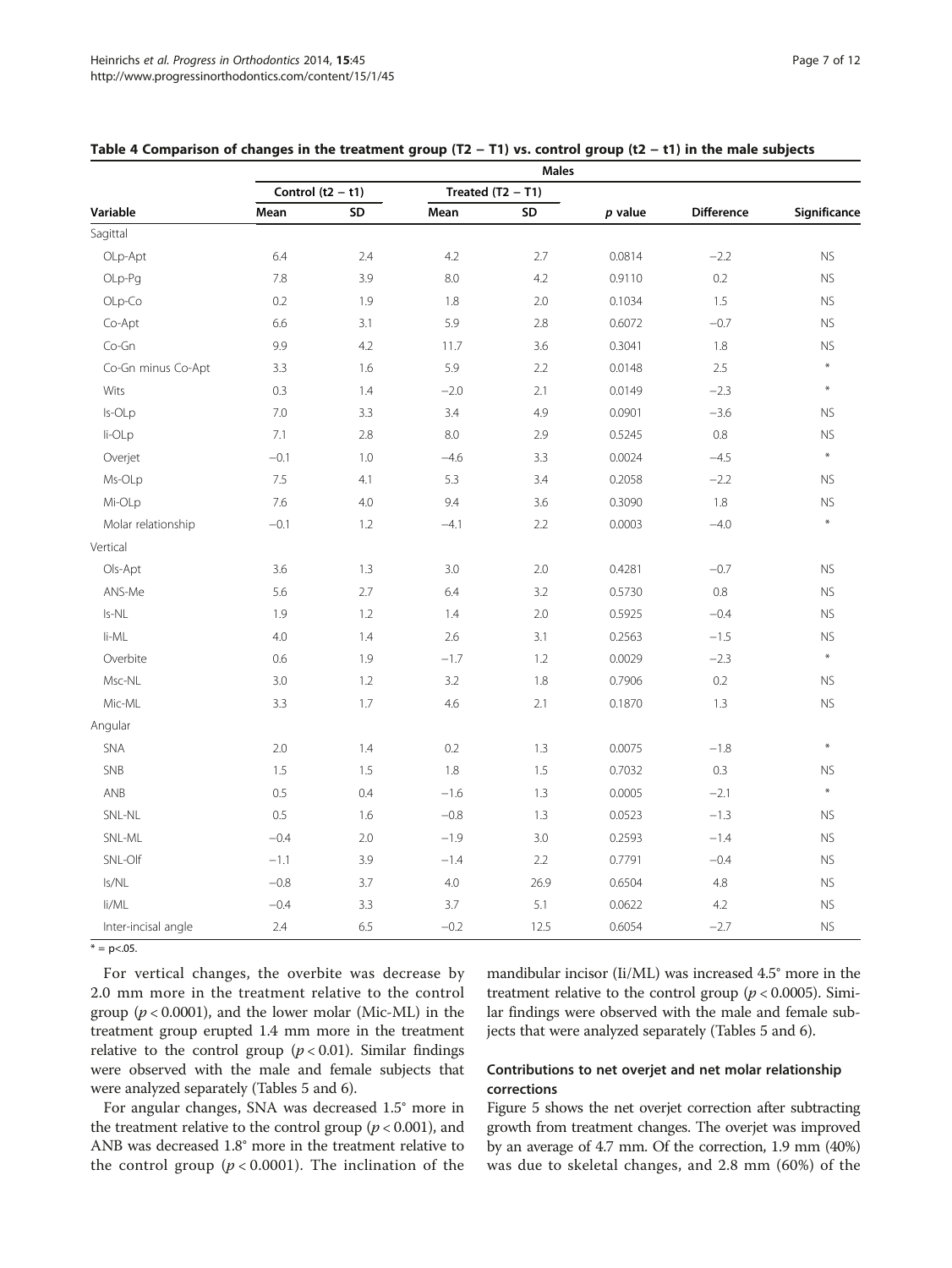|                     | Males               |     |        |                     |           |                   |              |  |
|---------------------|---------------------|-----|--------|---------------------|-----------|-------------------|--------------|--|
|                     | Control $(t2 - t1)$ |     |        | Treated $(T2 - T1)$ |           |                   |              |  |
| Variable            | Mean                | SD  | Mean   | SD                  | $p$ value | <b>Difference</b> | Significance |  |
| Sagittal            |                     |     |        |                     |           |                   |              |  |
| OLp-Apt             | 6.4                 | 2.4 | 4.2    | 2.7                 | 0.0814    | $-2.2$            | <b>NS</b>    |  |
| OLp-Pg              | 7.8                 | 3.9 | 8.0    | 4.2                 | 0.9110    | 0.2               | <b>NS</b>    |  |
| OLp-Co              | 0.2                 | 1.9 | 1.8    | 2.0                 | 0.1034    | 1.5               | <b>NS</b>    |  |
| Co-Apt              | 6.6                 | 3.1 | 5.9    | 2.8                 | 0.6072    | $-0.7$            | <b>NS</b>    |  |
| Co-Gn               | 9.9                 | 4.2 | 11.7   | 3.6                 | 0.3041    | 1.8               | <b>NS</b>    |  |
| Co-Gn minus Co-Apt  | 3.3                 | 1.6 | 5.9    | 2.2                 | 0.0148    | 2.5               | $\ast$       |  |
| Wits                | 0.3                 | 1.4 | $-2.0$ | 2.1                 | 0.0149    | $-2.3$            | $\ast$       |  |
| Is-OLp              | 7.0                 | 3.3 | 3.4    | 4.9                 | 0.0901    | $-3.6$            | <b>NS</b>    |  |
| li-OLp              | 7.1                 | 2.8 | 8.0    | 2.9                 | 0.5245    | 0.8               | <b>NS</b>    |  |
| Overjet             | $-0.1$              | 1.0 | $-4.6$ | 3.3                 | 0.0024    | $-4.5$            | $\ast$       |  |
| Ms-OLp              | 7.5                 | 4.1 | 5.3    | 3.4                 | 0.2058    | $-2.2$            | <b>NS</b>    |  |
| Mi-OLp              | 7.6                 | 4.0 | 9.4    | 3.6                 | 0.3090    | 1.8               | <b>NS</b>    |  |
| Molar relationship  | $-0.1$              | 1.2 | $-4.1$ | 2.2                 | 0.0003    | $-4.0$            | $\ast$       |  |
| Vertical            |                     |     |        |                     |           |                   |              |  |
| Ols-Apt             | 3.6                 | 1.3 | 3.0    | 2.0                 | 0.4281    | $-0.7$            | <b>NS</b>    |  |
| ANS-Me              | 5.6                 | 2.7 | 6.4    | 3.2                 | 0.5730    | $0.8\,$           | <b>NS</b>    |  |
| Is-NL               | 1.9                 | 1.2 | 1.4    | 2.0                 | 0.5925    | $-0.4$            | <b>NS</b>    |  |
| li-ML               | 4.0                 | 1.4 | 2.6    | 3.1                 | 0.2563    | $-1.5$            | <b>NS</b>    |  |
| Overbite            | 0.6                 | 1.9 | $-1.7$ | 1.2                 | 0.0029    | $-2.3$            | $\ast$       |  |
| Msc-NL              | 3.0                 | 1.2 | 3.2    | 1.8                 | 0.7906    | 0.2               | <b>NS</b>    |  |
| Mic-ML              | 3.3                 | 1.7 | 4.6    | 2.1                 | 0.1870    | 1.3               | <b>NS</b>    |  |
| Angular             |                     |     |        |                     |           |                   |              |  |
| SNA                 | 2.0                 | 1.4 | 0.2    | 1.3                 | 0.0075    | $-1.8$            | $\ast$       |  |
| SNB                 | 1.5                 | 1.5 | 1.8    | 1.5                 | 0.7032    | 0.3               | <b>NS</b>    |  |
| ANB                 | 0.5                 | 0.4 | $-1.6$ | 1.3                 | 0.0005    | $-2.1$            | $\ast$       |  |
| SNL-NL              | 0.5                 | 1.6 | $-0.8$ | 1.3                 | 0.0523    | $-1.3$            | <b>NS</b>    |  |
| SNL-ML              | $-0.4$              | 2.0 | $-1.9$ | 3.0                 | 0.2593    | $-1.4$            | <b>NS</b>    |  |
| SNL-Olf             | $-1.1$              | 3.9 | $-1.4$ | 2.2                 | 0.7791    | $-0.4$            | <b>NS</b>    |  |
| Is/NL               | $-0.8$              | 3.7 | 4.0    | 26.9                | 0.6504    | 4.8               | <b>NS</b>    |  |
| li/ML               | $-0.4$              | 3.3 | 3.7    | 5.1                 | 0.0622    | 4.2               | <b>NS</b>    |  |
| Inter-incisal angle | 2.4                 | 6.5 | $-0.2$ | 12.5                | 0.6054    | $-2.7$            | <b>NS</b>    |  |

## <span id="page-6-0"></span>Table 4 Comparison of changes in the treatment group (T2 − T1) vs. control group (t2 − t1) in the male subjects

 $* = p < .05$ .

For vertical changes, the overbite was decrease by 2.0 mm more in the treatment relative to the control group ( $p < 0.0001$ ), and the lower molar (Mic-ML) in the treatment group erupted 1.4 mm more in the treatment relative to the control group ( $p < 0.01$ ). Similar findings were observed with the male and female subjects that were analyzed separately (Tables [5](#page-7-0) and [6](#page-8-0)).

For angular changes, SNA was decreased 1.5° more in the treatment relative to the control group ( $p < 0.001$ ), and ANB was decreased 1.8° more in the treatment relative to the control group ( $p < 0.0001$ ). The inclination of the mandibular incisor (Ii/ML) was increased 4.5° more in the treatment relative to the control group ( $p < 0.0005$ ). Similar findings were observed with the male and female subjects that were analyzed separately (Tables [5](#page-7-0) and [6](#page-8-0)).

## Contributions to net overjet and net molar relationship corrections

Figure [5](#page-9-0) shows the net overjet correction after subtracting growth from treatment changes. The overjet was improved by an average of 4.7 mm. Of the correction, 1.9 mm (40%) was due to skeletal changes, and 2.8 mm (60%) of the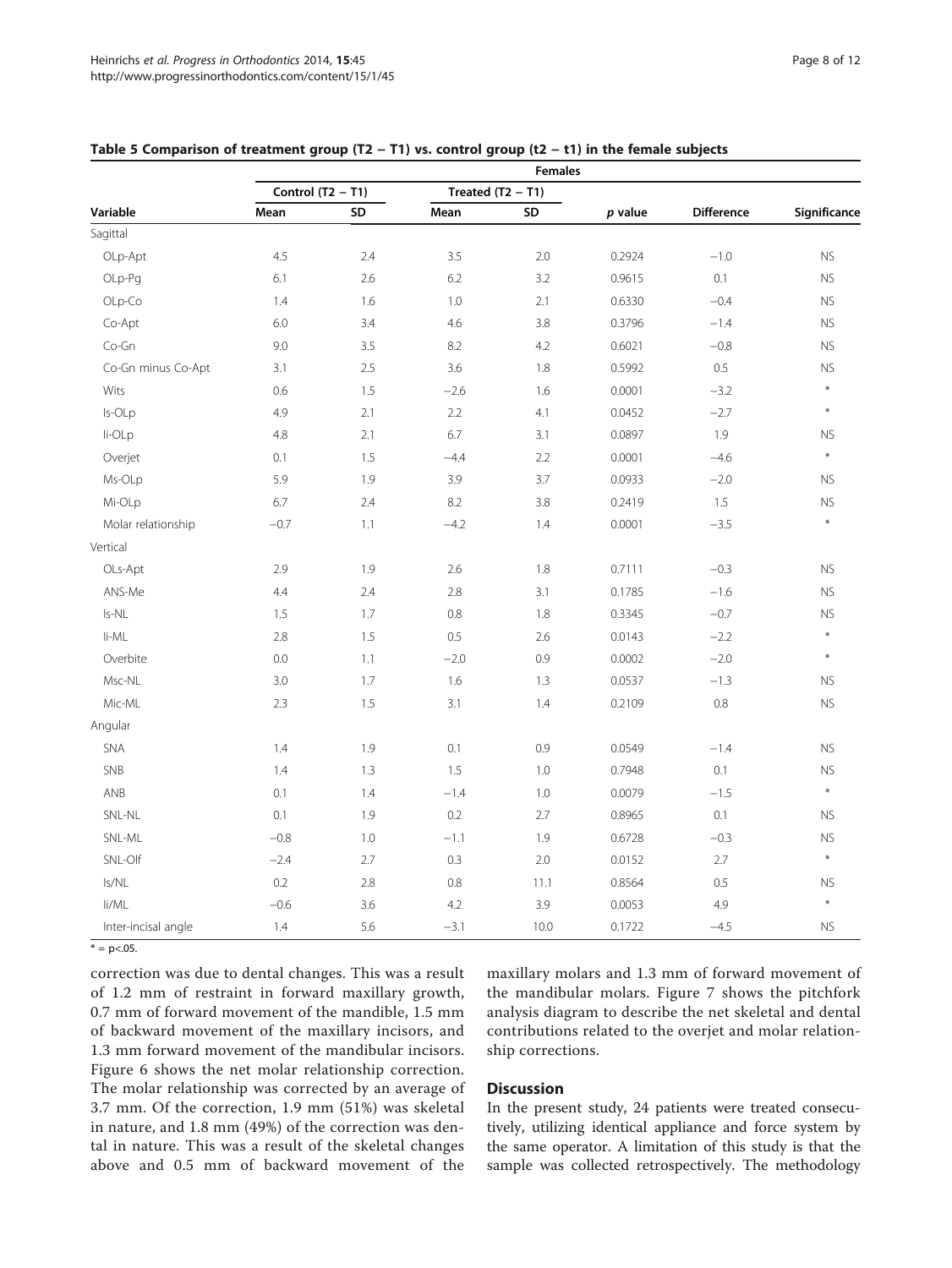|                     | <b>Females</b>      |     |                     |         |         |                   |              |  |
|---------------------|---------------------|-----|---------------------|---------|---------|-------------------|--------------|--|
|                     | Control $(T2 - T1)$ |     | Treated $(T2 - T1)$ |         |         |                   |              |  |
| Variable            | Mean                | SD  | Mean                | SD      | p value | <b>Difference</b> | Significance |  |
| Sagittal            |                     |     |                     |         |         |                   |              |  |
| OLp-Apt             | 4.5                 | 2.4 | 3.5                 | 2.0     | 0.2924  | $-1.0$            | <b>NS</b>    |  |
| OLp-Pg              | 6.1                 | 2.6 | 6.2                 | 3.2     | 0.9615  | 0.1               | <b>NS</b>    |  |
| OLp-Co              | 1.4                 | 1.6 | 1.0                 | 2.1     | 0.6330  | $-0.4$            | <b>NS</b>    |  |
| Co-Apt              | 6.0                 | 3.4 | 4.6                 | 3.8     | 0.3796  | $-1.4$            | <b>NS</b>    |  |
| Co-Gn               | 9.0                 | 3.5 | 8.2                 | 4.2     | 0.6021  | $-0.8$            | <b>NS</b>    |  |
| Co-Gn minus Co-Apt  | 3.1                 | 2.5 | 3.6                 | 1.8     | 0.5992  | 0.5               | <b>NS</b>    |  |
| Wits                | 0.6                 | 1.5 | $-2.6$              | 1.6     | 0.0001  | $-3.2$            | $\ast$       |  |
| Is-OLp              | 4.9                 | 2.1 | 2.2                 | 4.1     | 0.0452  | $-2.7$            | $\ast$       |  |
| li-OLp              | 4.8                 | 2.1 | 6.7                 | 3.1     | 0.0897  | 1.9               | <b>NS</b>    |  |
| Overjet             | 0.1                 | 1.5 | $-4.4$              | 2.2     | 0.0001  | $-4.6$            | $\ast$       |  |
| Ms-OLp              | 5.9                 | 1.9 | 3.9                 | 3.7     | 0.0933  | $-2.0$            | <b>NS</b>    |  |
| Mi-OLp              | 6.7                 | 2.4 | 8.2                 | 3.8     | 0.2419  | 1.5               | <b>NS</b>    |  |
| Molar relationship  | $-0.7$              | 1.1 | $-4.2$              | 1.4     | 0.0001  | $-3.5$            | $\star$      |  |
| Vertical            |                     |     |                     |         |         |                   |              |  |
| OLs-Apt             | 2.9                 | 1.9 | 2.6                 | 1.8     | 0.7111  | $-0.3$            | <b>NS</b>    |  |
| ANS-Me              | 4.4                 | 2.4 | 2.8                 | 3.1     | 0.1785  | $-1.6$            | <b>NS</b>    |  |
| Is-NL               | 1.5                 | 1.7 | 0.8                 | 1.8     | 0.3345  | $-0.7$            | <b>NS</b>    |  |
| li-ML               | 2.8                 | 1.5 | 0.5                 | 2.6     | 0.0143  | $-2.2$            | $\star$      |  |
| Overbite            | 0.0                 | 1.1 | $-2.0$              | 0.9     | 0.0002  | $-2.0$            | $\ast$       |  |
| Msc-NL              | 3.0                 | 1.7 | 1.6                 | 1.3     | 0.0537  | $-1.3$            | <b>NS</b>    |  |
| Mic-ML              | 2.3                 | 1.5 | 3.1                 | 1.4     | 0.2109  | $0.8\,$           | <b>NS</b>    |  |
| Angular             |                     |     |                     |         |         |                   |              |  |
| SNA                 | 1.4                 | 1.9 | 0.1                 | 0.9     | 0.0549  | $-1.4$            | <b>NS</b>    |  |
| SNB                 | 1.4                 | 1.3 | 1.5                 | $1.0\,$ | 0.7948  | 0.1               | <b>NS</b>    |  |
| ANB                 | 0.1                 | 1.4 | $-1.4$              | 1.0     | 0.0079  | $-1.5$            | $\ast$       |  |
| SNL-NL              | 0.1                 | 1.9 | 0.2                 | 2.7     | 0.8965  | 0.1               | <b>NS</b>    |  |
| SNL-ML              | $-0.8$              | 1.0 | $-1.1$              | 1.9     | 0.6728  | $-0.3$            | <b>NS</b>    |  |
| SNL-Olf             | $-2.4$              | 2.7 | 0.3                 | 2.0     | 0.0152  | 2.7               | $\ast$       |  |
| Is/NL               | 0.2                 | 2.8 | 0.8                 | 11.1    | 0.8564  | 0.5               | ${\sf NS}$   |  |
| li/ML               | $-0.6$              | 3.6 | 4.2                 | 3.9     | 0.0053  | 4.9               | $\star$      |  |
| Inter-incisal angle | 1.4                 | 5.6 | $-3.1$              | 10.0    | 0.1722  | $-4.5$            | <b>NS</b>    |  |

#### <span id="page-7-0"></span>Table 5 Comparison of treatment group (T2 − T1) vs. control group (t2 − t1) in the female subjects

 $* = p < .05$ .

correction was due to dental changes. This was a result of 1.2 mm of restraint in forward maxillary growth, 0.7 mm of forward movement of the mandible, 1.5 mm of backward movement of the maxillary incisors, and 1.3 mm forward movement of the mandibular incisors. Figure [6](#page-9-0) shows the net molar relationship correction. The molar relationship was corrected by an average of 3.7 mm. Of the correction, 1.9 mm (51%) was skeletal in nature, and 1.8 mm (49%) of the correction was dental in nature. This was a result of the skeletal changes above and 0.5 mm of backward movement of the

maxillary molars and 1.3 mm of forward movement of the mandibular molars. Figure [7](#page-10-0) shows the pitchfork analysis diagram to describe the net skeletal and dental contributions related to the overjet and molar relationship corrections.

## **Discussion**

In the present study, 24 patients were treated consecutively, utilizing identical appliance and force system by the same operator. A limitation of this study is that the sample was collected retrospectively. The methodology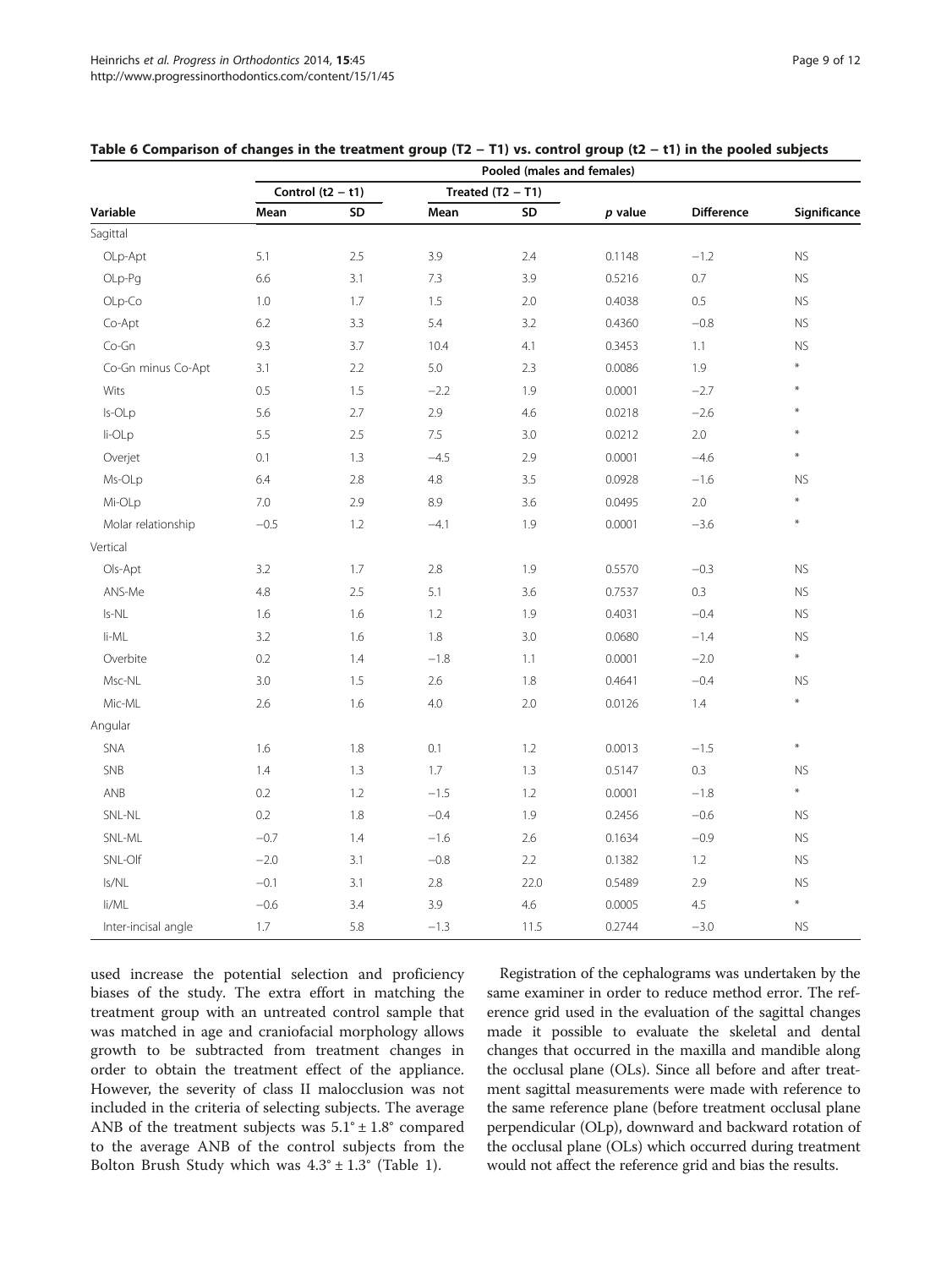|                     | Pooled (males and females) |     |         |                     |           |                   |              |  |
|---------------------|----------------------------|-----|---------|---------------------|-----------|-------------------|--------------|--|
|                     | Control $(t2 - t1)$        |     |         | Treated $(T2 - T1)$ |           |                   |              |  |
| Variable            | Mean                       | SD  | Mean    | SD                  | $p$ value | <b>Difference</b> | Significance |  |
| Sagittal            |                            |     |         |                     |           |                   |              |  |
| OLp-Apt             | 5.1                        | 2.5 | 3.9     | 2.4                 | 0.1148    | $-1.2$            | <b>NS</b>    |  |
| OLp-Pq              | 6.6                        | 3.1 | 7.3     | 3.9                 | 0.5216    | 0.7               | <b>NS</b>    |  |
| OLp-Co              | 1.0                        | 1.7 | 1.5     | 2.0                 | 0.4038    | 0.5               | ${\sf NS}$   |  |
| Co-Apt              | 6.2                        | 3.3 | 5.4     | 3.2                 | 0.4360    | $-0.8$            | <b>NS</b>    |  |
| Co-Gn               | 9.3                        | 3.7 | 10.4    | 4.1                 | 0.3453    | 1.1               | <b>NS</b>    |  |
| Co-Gn minus Co-Apt  | 3.1                        | 2.2 | 5.0     | 2.3                 | 0.0086    | 1.9               | $\star$      |  |
| Wits                | 0.5                        | 1.5 | $-2.2$  | 1.9                 | 0.0001    | $-2.7$            | $\ast$       |  |
| Is-OLp              | 5.6                        | 2.7 | 2.9     | 4.6                 | 0.0218    | $-2.6$            | $\ast$       |  |
| li-OLp              | 5.5                        | 2.5 | 7.5     | 3.0                 | 0.0212    | $2.0\,$           | $\ast$       |  |
| Overjet             | 0.1                        | 1.3 | $-4.5$  | 2.9                 | 0.0001    | $-4.6$            | $\ast$       |  |
| Ms-OLp              | 6.4                        | 2.8 | $4.8\,$ | 3.5                 | 0.0928    | $-1.6$            | <b>NS</b>    |  |
| Mi-OLp              | 7.0                        | 2.9 | 8.9     | 3.6                 | 0.0495    | $2.0\,$           | $\ast$       |  |
| Molar relationship  | $-0.5$                     | 1.2 | $-4.1$  | 1.9                 | 0.0001    | $-3.6$            | $\ast$       |  |
| Vertical            |                            |     |         |                     |           |                   |              |  |
| Ols-Apt             | 3.2                        | 1.7 | 2.8     | 1.9                 | 0.5570    | $-0.3$            | ${\sf NS}$   |  |
| ANS-Me              | 4.8                        | 2.5 | 5.1     | 3.6                 | 0.7537    | 0.3               | <b>NS</b>    |  |
| Is-NL               | 1.6                        | 1.6 | 1.2     | 1.9                 | 0.4031    | $-0.4$            | <b>NS</b>    |  |
| li-ML               | 3.2                        | 1.6 | 1.8     | 3.0                 | 0.0680    | $-1.4$            | <b>NS</b>    |  |
| Overbite            | 0.2                        | 1.4 | $-1.8$  | 1.1                 | 0.0001    | $-2.0$            | $\ast$       |  |
| Msc-NL              | 3.0                        | 1.5 | 2.6     | 1.8                 | 0.4641    | $-0.4$            | <b>NS</b>    |  |
| Mic-ML              | 2.6                        | 1.6 | 4.0     | 2.0                 | 0.0126    | 1.4               | $\ast$       |  |
| Angular             |                            |     |         |                     |           |                   |              |  |
| SNA                 | 1.6                        | 1.8 | 0.1     | 1.2                 | 0.0013    | $-1.5$            | $\ast$       |  |
| SNB                 | 1.4                        | 1.3 | 1.7     | 1.3                 | 0.5147    | 0.3               | ${\sf NS}$   |  |
| ANB                 | 0.2                        | 1.2 | $-1.5$  | 1.2                 | 0.0001    | $-1.8$            | $\ast$       |  |
| SNL-NL              | 0.2                        | 1.8 | $-0.4$  | 1.9                 | 0.2456    | $-0.6$            | <b>NS</b>    |  |
| SNL-ML              | $-0.7$                     | 1.4 | $-1.6$  | 2.6                 | 0.1634    | $-0.9$            | <b>NS</b>    |  |
| SNL-Olf             | $-2.0$                     | 3.1 | $-0.8$  | 2.2                 | 0.1382    | 1.2               | ${\sf NS}$   |  |
| Is/NL               | $-0.1$                     | 3.1 | 2.8     | 22.0                | 0.5489    | 2.9               | <b>NS</b>    |  |
| li/ML               | $-0.6$                     | 3.4 | 3.9     | 4.6                 | 0.0005    | 4.5               | $\ast$       |  |
| Inter-incisal angle | 1.7                        | 5.8 | $-1.3$  | 11.5                | 0.2744    | $-3.0$            | <b>NS</b>    |  |

<span id="page-8-0"></span>

|  |  |  | Table 6 Comparison of changes in the treatment group ( $T2 - T1$ ) vs. control group (t2 - t1) in the pooled subjects |
|--|--|--|-----------------------------------------------------------------------------------------------------------------------|
|--|--|--|-----------------------------------------------------------------------------------------------------------------------|

used increase the potential selection and proficiency biases of the study. The extra effort in matching the treatment group with an untreated control sample that was matched in age and craniofacial morphology allows growth to be subtracted from treatment changes in order to obtain the treatment effect of the appliance. However, the severity of class II malocclusion was not included in the criteria of selecting subjects. The average ANB of the treatment subjects was  $5.1^{\circ} \pm 1.8^{\circ}$  compared to the average ANB of the control subjects from the Bolton Brush Study which was  $4.3^{\circ} \pm 1.3^{\circ}$  (Table [1\)](#page-1-0).

Registration of the cephalograms was undertaken by the same examiner in order to reduce method error. The reference grid used in the evaluation of the sagittal changes made it possible to evaluate the skeletal and dental changes that occurred in the maxilla and mandible along the occlusal plane (OLs). Since all before and after treatment sagittal measurements were made with reference to the same reference plane (before treatment occlusal plane perpendicular (OLp), downward and backward rotation of the occlusal plane (OLs) which occurred during treatment would not affect the reference grid and bias the results.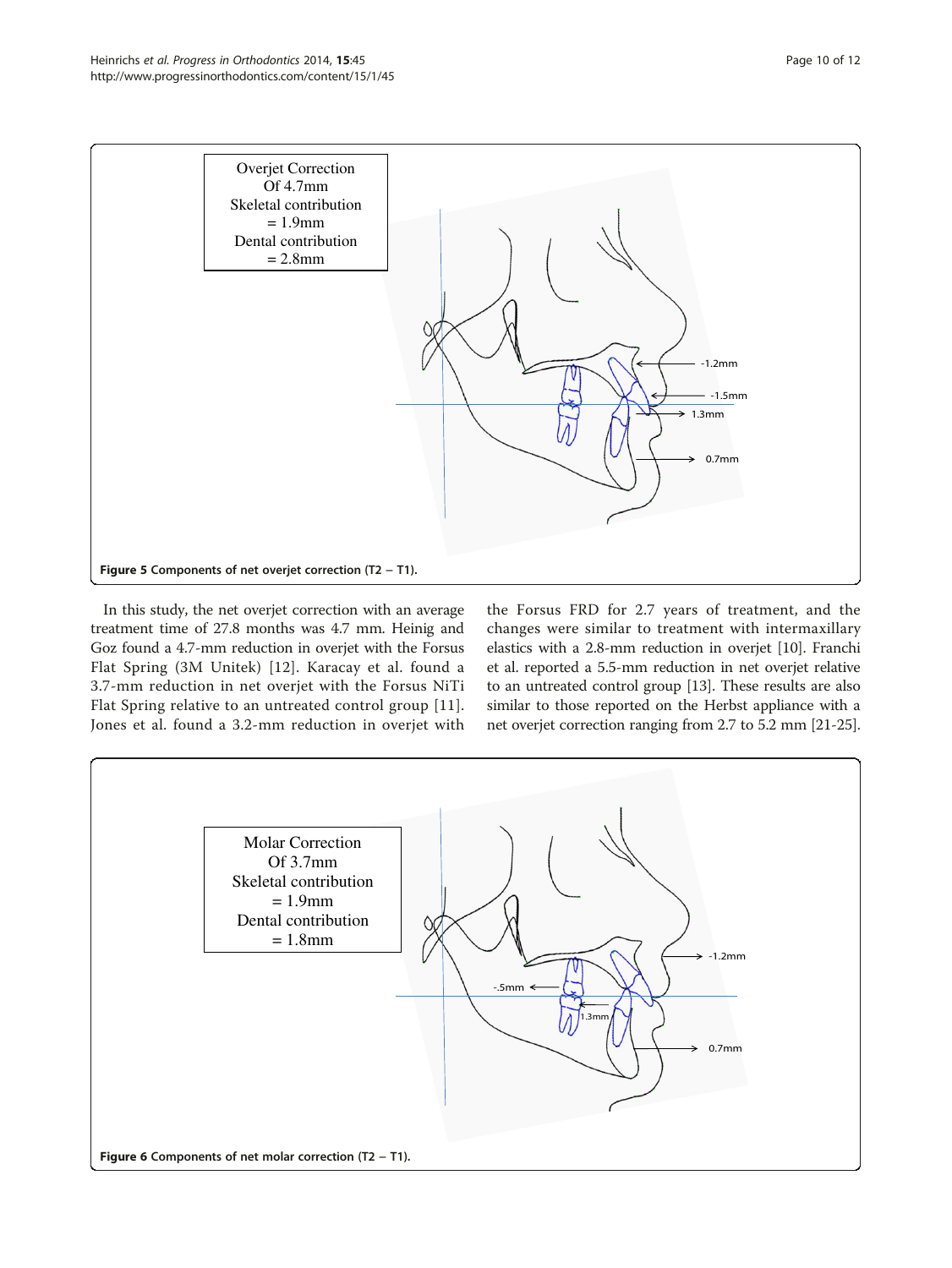<span id="page-9-0"></span>

In this study, the net overjet correction with an average treatment time of 27.8 months was 4.7 mm. Heinig and Goz found a 4.7-mm reduction in overjet with the Forsus Flat Spring (3M Unitek) [[12\]](#page-11-0). Karacay et al. found a 3.7-mm reduction in net overjet with the Forsus NiTi Flat Spring relative to an untreated control group [[11](#page-11-0)]. Jones et al. found a 3.2-mm reduction in overjet with

the Forsus FRD for 2.7 years of treatment, and the changes were similar to treatment with intermaxillary elastics with a 2.8-mm reduction in overjet [[10](#page-11-0)]. Franchi et al. reported a 5.5-mm reduction in net overjet relative to an untreated control group [[13](#page-11-0)]. These results are also similar to those reported on the Herbst appliance with a net overjet correction ranging from 2.7 to 5.2 mm [[21](#page-11-0)-[25](#page-11-0)].

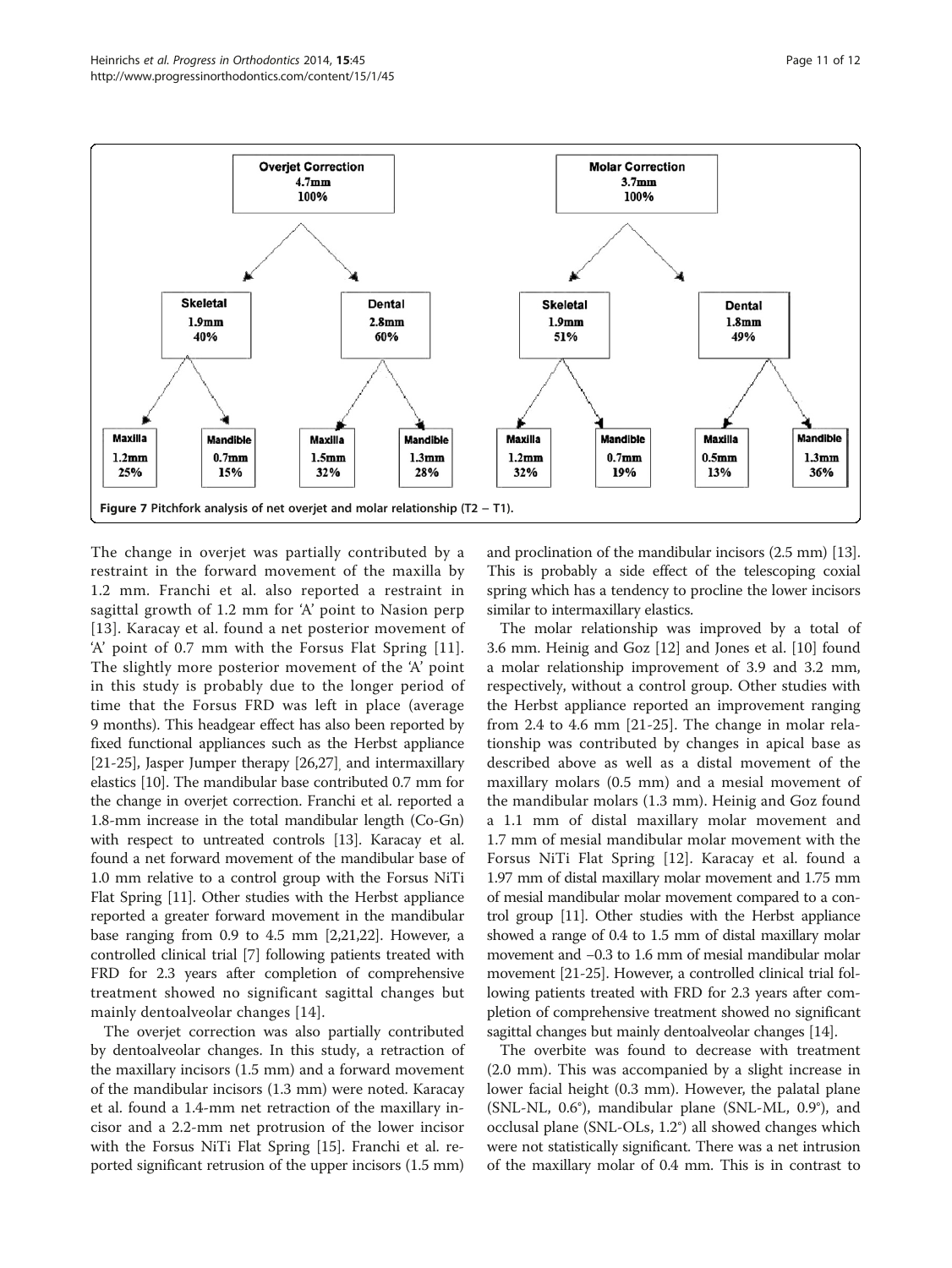<span id="page-10-0"></span>

The change in overjet was partially contributed by a restraint in the forward movement of the maxilla by 1.2 mm. Franchi et al. also reported a restraint in sagittal growth of 1.2 mm for 'A' point to Nasion perp [[13](#page-11-0)]. Karacay et al. found a net posterior movement of 'A' point of 0.7 mm with the Forsus Flat Spring [[11](#page-11-0)]. The slightly more posterior movement of the 'A' point in this study is probably due to the longer period of time that the Forsus FRD was left in place (average 9 months). This headgear effect has also been reported by fixed functional appliances such as the Herbst appliance [[21](#page-11-0)-[25\]](#page-11-0), Jasper Jumper therapy [\[26,27\]](#page-11-0) and intermaxillary elastics [\[10\]](#page-11-0). The mandibular base contributed 0.7 mm for the change in overjet correction. Franchi et al. reported a 1.8-mm increase in the total mandibular length (Co-Gn) with respect to untreated controls [[13](#page-11-0)]. Karacay et al. found a net forward movement of the mandibular base of 1.0 mm relative to a control group with the Forsus NiTi Flat Spring [[11](#page-11-0)]. Other studies with the Herbst appliance reported a greater forward movement in the mandibular base ranging from 0.9 to 4.5 mm [\[2,21,22\]](#page-11-0). However, a controlled clinical trial [[7\]](#page-11-0) following patients treated with FRD for 2.3 years after completion of comprehensive treatment showed no significant sagittal changes but mainly dentoalveolar changes [[14\]](#page-11-0).

The overjet correction was also partially contributed by dentoalveolar changes. In this study, a retraction of the maxillary incisors (1.5 mm) and a forward movement of the mandibular incisors (1.3 mm) were noted. Karacay et al. found a 1.4-mm net retraction of the maxillary incisor and a 2.2-mm net protrusion of the lower incisor with the Forsus NiTi Flat Spring [\[15\]](#page-11-0). Franchi et al. reported significant retrusion of the upper incisors (1.5 mm)

and proclination of the mandibular incisors (2.5 mm) [[13](#page-11-0)]. This is probably a side effect of the telescoping coxial spring which has a tendency to procline the lower incisors similar to intermaxillary elastics.

The molar relationship was improved by a total of 3.6 mm. Heinig and Goz [\[12\]](#page-11-0) and Jones et al. [[10](#page-11-0)] found a molar relationship improvement of 3.9 and 3.2 mm, respectively, without a control group. Other studies with the Herbst appliance reported an improvement ranging from 2.4 to 4.6 mm [[21-25\]](#page-11-0). The change in molar relationship was contributed by changes in apical base as described above as well as a distal movement of the maxillary molars (0.5 mm) and a mesial movement of the mandibular molars (1.3 mm). Heinig and Goz found a 1.1 mm of distal maxillary molar movement and 1.7 mm of mesial mandibular molar movement with the Forsus NiTi Flat Spring [\[12](#page-11-0)]. Karacay et al. found a 1.97 mm of distal maxillary molar movement and 1.75 mm of mesial mandibular molar movement compared to a control group [[11](#page-11-0)]. Other studies with the Herbst appliance showed a range of 0.4 to 1.5 mm of distal maxillary molar movement and −0.3 to 1.6 mm of mesial mandibular molar movement [\[21-25](#page-11-0)]. However, a controlled clinical trial following patients treated with FRD for 2.3 years after completion of comprehensive treatment showed no significant sagittal changes but mainly dentoalveolar changes [\[14\]](#page-11-0).

The overbite was found to decrease with treatment (2.0 mm). This was accompanied by a slight increase in lower facial height (0.3 mm). However, the palatal plane (SNL-NL, 0.6°), mandibular plane (SNL-ML, 0.9°), and occlusal plane (SNL-OLs, 1.2°) all showed changes which were not statistically significant. There was a net intrusion of the maxillary molar of 0.4 mm. This is in contrast to